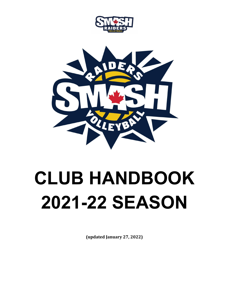



# **CLUB HANDBOOK 2021-22 SEASON**

**(updated January 27, 2022)**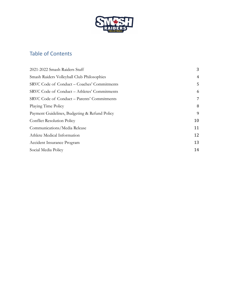

# Table of Contents

| 2021-2022 Smash Raiders Staff                 | 3  |
|-----------------------------------------------|----|
| Smash Raiders Volleyball Club Philosophies    | 4  |
| SRVC Code of Conduct – Coaches' Commitments   | 5  |
| SRVC Code of Conduct – Athletes' Commitments  | 6  |
| SRVC Code of Conduct – Parents' Commitments   | 7  |
| Playing Time Policy                           | 8  |
| Payment Guidelines, Budgeting & Refund Policy | 9  |
| <b>Conflict Resolution Policy</b>             | 10 |
| Communications/Media Release                  | 11 |
| Athlete Medical Information                   | 12 |
| Accident Insurance Program                    | 13 |
| Social Media Policy                           | 14 |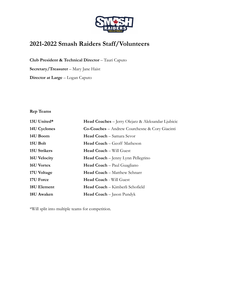

# <span id="page-2-0"></span>**2021-2022 Smash Raiders Staff/Volunteers**

**Club President & Technical Director** – Tauri Caputo

**Secretary/Treasurer** – Mary Jane Haist

**Director at Large** – Logan Caputo

## **Rep Teams**

| 13U United*  | Head Coaches - Jerry Olejarz & Aleksandar Ljubicic    |
|--------------|-------------------------------------------------------|
| 14U Cyclones | <b>Co-Coaches</b> – Andrew Courchesne & Cory Giacinti |
| 14U Boom     | Head Coach - Samara Sevor                             |
| 15U Bolt     | <b>Head Coach</b> – Geoff Matheson                    |
| 15U Strikers | <b>Head Coach - Will Guest</b>                        |
| 16U Velocity | <b>Head Coach</b> – Jenny Lynn Pellegrino             |
| 16U Vortex   | <b>Head Coach</b> – Paul Guagliano                    |
| 17U Voltage  | <b>Head Coach</b> – Matthew Schnarr                   |
| 17U Force    | Head Coach - Will Guest                               |
| 18U Element  | Head Coach - Kimberli Schofield                       |
| 18U Awaken   | <b>Head Coach</b> – Jason Pundyk                      |

<span id="page-2-1"></span>\*Will split into multiple teams for competition.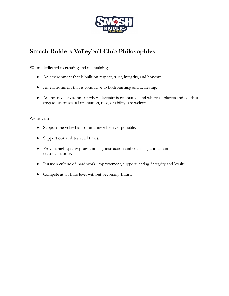

# **Smash Raiders Volleyball Club Philosophies**

We are dedicated to creating and maintaining:

- An environment that is built on respect, trust, integrity, and honesty.
- An environment that is conducive to both learning and achieving.
- An inclusive environment where diversity is celebrated, and where all players and coaches (regardless of sexual orientation, race, or ability) are welcomed.

We strive to:

- Support the volleyball community whenever possible.
- Support our athletes at all times.
- Provide high quality programming, instruction and coaching at a fair and reasonable price.
- Pursue a culture of hard work, improvement, support, caring, integrity and loyalty.
- Compete at an Elite level without becoming Elitist.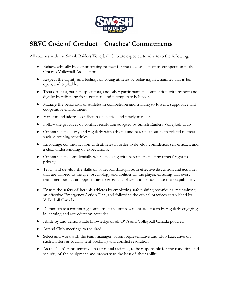

# <span id="page-4-0"></span>**SRVC Code of Conduct – Coaches' Commitments**

All coaches with the Smash Raiders Volleyball Club are expected to adhere to the following:

- Behave ethically by demonstrating respect for the rules and spirit of competition in the Ontario Volleyball Association.
- Respect the dignity and feelings of young athletes by behaving in a manner that is fair, open, and equitable.
- Treat officials, parents, spectators, and other participants in competition with respect and dignity by refraining from criticism and intemperate behavior.
- Manage the behaviour of athletes in competition and training to foster a supportive and cooperative environment.
- Monitor and address conflict in a sensitive and timely manner.
- Follow the practices of conflict resolution adopted by Smash Raiders Volleyball Club.
- Communicate clearly and regularly with athletes and parents about team-related matters such as training schedules.
- Encourage communication with athletes in order to develop confidence, self-efficacy, and a clear understanding of expectations.
- Communicate confidentially when speaking with parents, respecting others' right to privacy.
- Teach and develop the skills of volleyball through both effective discussion and activities that are tailored to the age, psychology and abilities of the player, ensuring that every team member has an opportunity to grow as a player and demonstrate their capabilities.
- Ensure the safety of her/his athletes by employing safe training techniques, maintaining an effective Emergency Action Plan, and following the ethical practices established by Volleyball Canada.
- Demonstrate a continuing commitment to improvement as a coach by regularly engaging in learning and accreditation activities.
- Abide by and demonstrate knowledge of all OVA and Volleyball Canada policies.
- Attend Club meetings as required.
- Select and work with the team manager, parent representative and Club Executive on such matters as tournament bookings and conflict resolution.
- As the Club's representative in our rental facilities, to be responsible for the condition and security of the equipment and property to the best of their ability.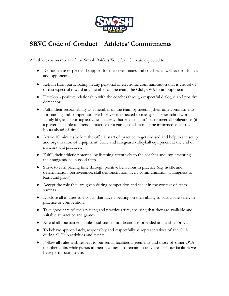

# <span id="page-5-0"></span>**SRVC Code of Conduct – Athletes' Commitments**

All athletes as members of the Smash Raiders Volleyball Club are expected to:

- Demonstrate respect and support for their teammates and coaches, as well as for officials and opponents.
- Refrain from participating in any personal or electronic communication that is critical of or disrespectful toward any member of the team, the Club, OVA or an opponent.
- Develop a positive relationship with the coaches through respectful dialogue and positive demeanor.
- Fulfill their responsibility as a member of the team by meeting their time commitments for training and competition. Each player is expected to manage his/her schoolwork, family life, and sporting activities in a way that enables him/her to meet all obligations (if a player is unable to attend a practice or a game, coaches must be informed at least 24 hours ahead of time).
- Arrive 10 minutes before the official start of practice to get dressed and help in the setup and organization of equipment. Store and safeguard volleyball equipment at the end of matches and practices.
- Fulfill their athletic potential by listening attentively to the coaches and implementing their suggestions in good faith.
- Strive to earn playing time through positive behaviour in practice (e.g. hustle and determination, perseverance, skill demonstration, lively communication, willingness to learn and grow).
- Accept the role they are given during competition and see it in the context of team success.
- Disclose all injuries to a coach that have a bearing on their ability to participate safely in practice or competition.
- Take good care of their playing and practice attire, ensuring that they are available and suitable at practice and games.
- Attend all tournaments unless substantial notification is provided and with approval.
- To behave appropriately, responsibly and respectfully as representatives of the Club during all Club activities and events.
- Follow all rules with respect to our rental facilities agreements and those of other OVA member clubs while guests in their facilities. To remain in only areas of our facilities we have permission to use.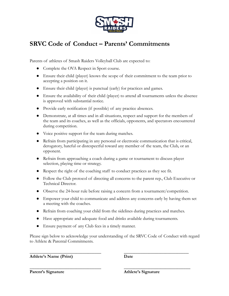

# <span id="page-6-0"></span>**SRVC Code of Conduct – Parents' Commitments**

Parents of athletes of Smash Raiders Volleyball Club are expected to:

- Complete the OVA Respect in Sport course.
- Ensure their child (player) knows the scope of their commitment to the team prior to accepting a position on it.
- Ensure their child (player) is punctual (early) for practices and games.
- Ensure the availability of their child (player) to attend all tournaments unless the absence is approved with substantial notice.
- Provide early notification (if possible) of any practice absences.
- Demonstrate, at all times and in all situations, respect and support for the members of the team and its coaches, as well as the officials, opponents, and spectators encountered during competition.
- Voice positive support for the team during matches.
- Refrain from participating in any personal or electronic communication that is critical, derogatory, hateful or disrespectful toward any member of the team, the Club, or an opponent.
- Refrain from approaching a coach during a game or tournament to discuss player selection, playing time or strategy.
- Respect the right of the coaching staff to conduct practices as they see fit.
- Follow the Club protocol of directing all concerns to the parent rep., Club Executive or Technical Director.
- Observe the 24-hour rule before raising a concern from a tournament/competition.
- Empower your child to communicate and address any concerns early by having them set a meeting with the coaches.
- Refrain from coaching your child from the sidelines during practices and matches.
- Have appropriate and adequate food and drinks available during tournaments.
- Ensure payment of any Club fees in a timely manner.

Please sign below to acknowledge your understanding of the SRVC Code of Conduct with regard to Athlete & Parental Commitments.

\_\_\_\_\_\_\_\_\_\_\_\_\_\_\_\_\_\_\_\_\_\_\_\_\_\_\_\_\_\_\_\_\_\_\_\_\_\_\_\_\_\_\_ \_\_\_\_\_\_\_\_\_\_\_\_\_\_\_\_\_\_\_\_\_\_\_\_\_\_\_\_\_\_\_\_\_\_\_\_\_\_\_

\_\_\_\_\_\_\_\_\_\_\_\_\_\_\_\_\_\_\_\_\_\_\_\_\_\_\_\_\_\_\_\_\_\_\_\_\_\_\_\_\_\_\_ \_\_\_\_\_\_\_\_\_\_\_\_\_\_\_\_\_\_\_\_\_\_\_\_\_\_\_\_\_\_\_\_\_\_\_\_\_\_\_\_

**Athlete's Name (Print) Date**

**Parent's Signature Athlete's Signature**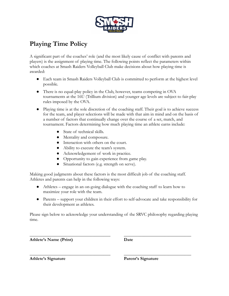

# <span id="page-7-0"></span>**Playing Time Policy**

A significant part of the coaches' role (and the most likely cause of conflict with parents and players) is the assignment of playing time. The following points reflect the parameters within which coaches at Smash Raiders Volleyball Club make decisions about how playing time is awarded:

- Each team in Smash Raiders Volleyball Club is committed to perform at the highest level possible.
- There is no equal-play policy in the Club, however, teams competing in OVA tournaments at the 16U (Trillium division) and younger age levels are subject to fair-play rules imposed by the OVA.
- Playing time is at the sole discretion of the coaching staff. Their goal is to achieve success for the team, and player selections will be made with that aim in mind and on the basis of a number of factors that continually change over the course of a set, match, and tournament. Factors determining how much playing time an athlete earns include:
	- State of technical skills.
	- Mentality and composure.
	- Interaction with others on the court.
	- Ability to execute the team's system.
	- Acknowledgement of work in practice.
	- Opportunity to gain experience from game play.
	- Situational factors (e.g. strength on serve).

Making good judgments about these factors is the most difficult job of the coaching staff. Athletes and parents can help in the following ways:

- Athletes engage in an on-going dialogue with the coaching staff to learn how to maximize your role with the team.
- Parents support your children in their effort to self-advocate and take responsibility for their development as athletes.

Please sign below to acknowledge your understanding of the SRVC philosophy regarding playing time.

\_\_\_\_\_\_\_\_\_\_\_\_\_\_\_\_\_\_\_\_\_\_\_\_\_\_\_\_\_\_\_\_\_\_\_\_ \_\_\_\_\_\_\_\_\_\_\_\_\_\_\_\_\_\_\_\_\_\_\_\_\_\_\_\_\_\_

\_\_\_\_\_\_\_\_\_\_\_\_\_\_\_\_\_\_\_\_\_\_\_\_\_\_\_\_\_\_\_\_\_\_\_\_ \_\_\_\_\_\_\_\_\_\_\_\_\_\_\_\_\_\_\_\_\_\_\_\_\_\_\_\_\_\_

**Athlete's Name (Print) Date**

**Athlete's Signature Parent's Signature**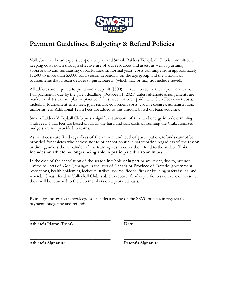

# <span id="page-8-0"></span>**Payment Guidelines, Budgeting & Refund Policies**

Volleyball can be an expensive sport to play and Smash Raiders Volleyball Club is committed to keeping costs down through effective use of our resources and assets as well as pursuing sponsorship and fundraising opportunities. In normal years, costs can range from approximately \$1,500 to more than \$3,000 for a season depending on the age group and the amount of tournaments that a team decides to participate in (which may or may not include travel).

All athletes are required to put down a deposit (\$500) in order to secure their spot on a team. Full payment is due by the given deadline (October 31, 2021) unless alternate arrangements are made. Athletes cannot play or practice if fees have not been paid. The Club Fees cover costs, including tournament entry fees, gym rentals, equipment costs, coach expenses, administration, uniforms, etc. Additional Team Fees are added to this amount based on team activities.

Smash Raiders Volleyball Club puts a significant amount of time and energy into determining Club fees. Final fees are based on all of the hard and soft costs of running the Club. Itemized budgets are not provided to teams.

As most costs are fixed regardless of the amount and level of participation, refunds cannot be provided for athletes who choose not to or cannot continue participating regardless of the reason or timing, unless the remainder of the team agrees to cover the refund to the athlete. **This includes an athlete no longer being able to participate due to an injury.**

In the case of the cancelation of the season in whole or in part or any event, due to, but not limited to "acts of God", changes in the laws of Canada or Province of Ontario, government restrictions, health epidemics, lockouts, strikes, storms, floods, fires or building safety issues, and whereby Smash Raiders Volleyball Club is able to recover funds specific to said event or season, these will be returned to the club members on a prorated basis.

Please sign below to acknowledge your understanding of the SRVC policies in regards to payment, budgeting and refunds.

\_\_\_\_\_\_\_\_\_\_\_\_\_\_\_\_\_\_\_\_\_\_\_\_\_\_\_\_\_\_\_\_\_\_\_\_ \_\_\_\_\_\_\_\_\_\_\_\_\_\_\_\_\_\_\_\_\_\_\_\_\_\_\_\_\_\_

**Athlete's Name (Print) Date**

\_\_\_\_\_\_\_\_\_\_\_\_\_\_\_\_\_\_\_\_\_\_\_\_\_\_\_\_\_\_\_\_\_\_\_\_ \_\_\_\_\_\_\_\_\_\_\_\_\_\_\_\_\_\_\_\_\_\_\_\_\_\_\_\_\_\_ **Athlete's Signature Parent's Signature**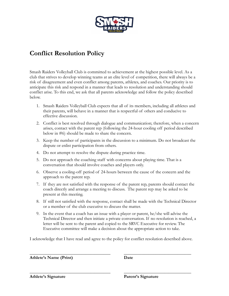

# <span id="page-9-0"></span>**Conflict Resolution Policy**

Smash Raiders Volleyball Club is committed to achievement at the highest possible level. As a club that strives to develop winning teams at an elite level of competition, there will always be a risk of disagreement and even conflict among parents, athletes, and coaches. Our priority is to anticipate this risk and respond in a manner that leads to resolution and understanding should conflict arise. To this end, we ask that all parents acknowledge and follow the policy described below.

- 1. Smash Raiders Volleyball Club expects that all of its members, including all athletes and their parents, will behave in a manner that is respectful of others and conducive to effective discussion.
- 2. Conflict is best resolved through dialogue and communication; therefore, when a concern arises, contact with the parent rep (following the 24-hour cooling off period described below in #6) should be made to share the concern.
- 3. Keep the number of participants in the discussion to a minimum. Do not broadcast the dispute or enlist participation from others.
- 4. Do not attempt to resolve the dispute during practice time.
- 5. Do not approach the coaching staff with concerns about playing time. That is a conversation that should involve coaches and players only.
- 6. Observe a cooling-off period of 24-hours between the cause of the concern and the approach to the parent rep.
- 7. If they are not satisfied with the response of the parent rep, parents should contact the coach directly and arrange a meeting to discuss. The parent rep may be asked to be present at this meeting.
- 8. If still not satisfied with the response, contact shall be made with the Technical Director or a member of the club executive to discuss the matter.
- 9. In the event that a coach has an issue with a player or parent, he/she will advise the Technical Director and then initiate a private conversation. If no resolution is reached, a letter will be sent to the parent and copied to the SRVC Executive for review. The Executive committee will make a decision about the appropriate action to take.

I acknowledge that I have read and agree to the policy for conflict resolution described above.

\_\_\_\_\_\_\_\_\_\_\_\_\_\_\_\_\_\_\_\_\_\_\_\_\_\_\_\_\_\_\_\_\_\_\_\_ \_\_\_\_\_\_\_\_\_\_\_\_\_\_\_\_\_\_\_\_\_\_\_\_\_\_\_\_\_\_

\_\_\_\_\_\_\_\_\_\_\_\_\_\_\_\_\_\_\_\_\_\_\_\_\_\_\_\_\_\_\_\_\_\_\_\_ \_\_\_\_\_\_\_\_\_\_\_\_\_\_\_\_\_\_\_\_\_\_\_\_\_\_\_\_\_\_

**Athlete's Name (Print) Date**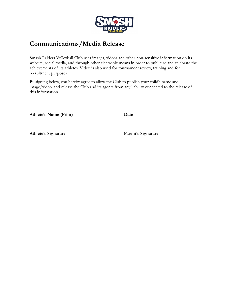

## <span id="page-10-0"></span>**Communications/Media Release**

Smash Raiders Volleyball Club uses images, videos and other non-sensitive information on its website, social media, and through other electronic means in order to publicize and celebrate the achievements of its athletes. Video is also used for tournament review, training and for recruitment purposes.

By signing below, you hereby agree to allow the Club to publish your child's name and image/video, and release the Club and its agents from any liability connected to the release of this information.

\_\_\_\_\_\_\_\_\_\_\_\_\_\_\_\_\_\_\_\_\_\_\_\_\_\_\_\_\_\_\_\_\_\_\_\_ \_\_\_\_\_\_\_\_\_\_\_\_\_\_\_\_\_\_\_\_\_\_\_\_\_\_\_\_\_\_

\_\_\_\_\_\_\_\_\_\_\_\_\_\_\_\_\_\_\_\_\_\_\_\_\_\_\_\_\_\_\_\_\_\_\_\_ \_\_\_\_\_\_\_\_\_\_\_\_\_\_\_\_\_\_\_\_\_\_\_\_\_\_\_\_\_\_

**Athlete's Name (Print) Date**

**Athlete's Signature Parent's Signature**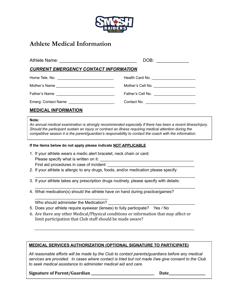

## <span id="page-11-0"></span>**Athlete Medical Information**

|                                              | DOB: $\qquad \qquad$                        |  |  |
|----------------------------------------------|---------------------------------------------|--|--|
| <b>CURRENT EMERGENCY CONTACT INFORMATION</b> |                                             |  |  |
|                                              |                                             |  |  |
|                                              | Mother's Cell No. _________________________ |  |  |
|                                              |                                             |  |  |
| Emerg. Contact Name                          |                                             |  |  |
| <b>MEDICAL INFORMATION</b>                   |                                             |  |  |

#### Note:

An annual medical examination is strongly recommended especially if there has been a recent illness/injury. Should the participant sustain an injury or contract an illness requiring medical attention during the competitive season it is the parent/guardian's responsibility to contact the coach with the information.

#### **If the items below do not apply please indicate NOT APPLICABLE**

- 1. If your athlete wears a medic alert bracelet, neck chain or card: Please specify what is written on it: First aid procedures in case of incident:
- 2. If your athlete is allergic to any drugs, foods, and/or medication please specify:
- 3. If your athlete takes any prescription drugs routinely, please specify with details:

\_\_\_\_\_\_\_\_\_\_\_\_\_\_\_\_\_\_\_\_\_\_\_\_\_\_\_\_\_\_\_\_\_\_\_\_\_\_\_\_\_\_\_\_\_\_\_\_\_\_\_\_\_\_\_\_\_\_\_\_\_\_\_\_\_\_\_\_\_\_

\_\_\_\_\_\_\_\_\_\_\_\_\_\_\_\_\_\_\_\_\_\_\_\_\_\_\_\_\_\_\_\_\_\_\_\_\_\_\_\_\_\_\_\_\_\_\_\_\_\_\_\_\_\_\_\_\_\_\_\_\_\_\_\_\_\_\_\_\_\_

4. What medication(s) should the athlete have on hand during practice/games?

\_\_\_\_\_\_\_\_\_\_\_\_\_\_\_\_\_\_\_\_\_\_\_\_\_\_\_\_\_\_\_\_ Who should administer the Medication?

- 5. Does your athlete require eyewear (lenses) to fully participate? Yes / No
- 6. Are there any other Medical/Physical conditions or information that may affect or limit participation that Club staff should be made aware?

\_\_\_\_\_\_\_\_\_\_\_\_\_\_\_\_\_\_\_\_\_\_\_\_\_\_\_\_\_\_\_\_\_\_\_\_\_\_\_\_\_\_\_\_\_\_\_\_\_\_\_\_\_\_\_\_\_\_\_\_\_\_\_\_\_\_\_\_\_\_\_\_\_\_\_\_\_\_\_\_\_\_\_\_\_\_\_\_\_\_\_\_\_\_\_\_

## **MEDICAL SERVICES AUTHORIZATION (OPTIONAL SIGNATURE TO PARTICIPATE)**

All reasonable efforts will be made by the Club to contact parents/guardians before any medical services are provided. In cases where contact is tried but not made I/we give consent to the Club to seek medical assistance to administer medical aid and care.

Signature of Parent/Guardian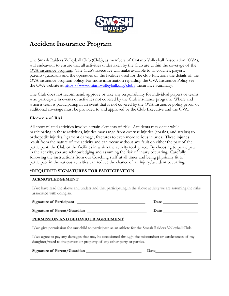

## <span id="page-12-0"></span>**Accident Insurance Program**

The Smash Raiders Volleyball Club (Club), as members of Ontario Volleyball Association (OVA), will endeavour to ensure that all activities undertaken by the Club are within the coverage of the OVA insurance program. The Club's Executive will make available to all coaches, players, parents/guardians and the operators of the facilities used for the club functions the details of the OVA insurance program policy. For more information regarding the OVA Insurance Policy see the OVA website at <https://www.ontariovolleyball.org/clubs> Insurance Summary.

The Club does not recommend, approve or take any responsibility for individual players or teams who participate in events or activities not covered by the Club insurance program. Where and when a team is participating in an event that is not covered by the OVA insurance policy proof of additional coverage must be provided to and approved by the Club Executive and the OVA.

## **Elements of Risk**

All sport related activities involve certain elements of risk. Accidents may occur while participating in these activities, injuries may range from overuse injuries (sprains, and strains) to orthopedic injuries, ligament damage, fractures to even more serious injuries. These injuries result from the nature of the activity and can occur without any fault on either the part of the participant, the Club or the facilities in which the activity took place. By choosing to participate in the activity, you are acknowledging and assuming the risk of injury occurring. Carefully following the instructions from our Coaching staff at all times and being physically fit to participate in the various activities can reduce the chance of an injury/accident occurring.

## **\*REQUIRED SIGNATURES FOR PARTICIPATION**

## **ACKNOWLEDGEMENT**

I/we have read the above and understand that participating in the above activity we are assuming the risks associated with doing so.

| <b>Signature of Participant</b> | Date |
|---------------------------------|------|
| Signature of Parent/Guardian    | Date |

## PERMISSION AND BEHAVIOUR AGREEMENT

I/we give permission for our child to participate as an athlete for the Smash Raiders Volleyball Club.

I/we agree to pay any damages that may be occasioned through the misconduct or carelessness of my daughter/ward to the person or property of any other party or parties.

Signature of Parent/Guardian

Date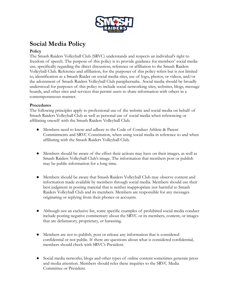

# <span id="page-13-0"></span>**Social Media Policy**

## **Policy**

The Smash Raiders Volleyball Club (SRVC) understands and respects an individual's right to freedom of speech. The purpose of this policy is to provide guidance for members' social media use, specifically regarding the direct discussion, reference or affiliation to the Smash Raiders Volleyball Club. Reference and affiliation, for the purposes of this policy refers but is not limited to, identification as a Smash Raider on social media sites, use of logo, photos, or videos, and/or the adornment of Smash Raiders Volleyball Club paraphernalia. Social media should be broadly understood for purposes of this policy to include social networking sites, websites, blogs, message boards, and other sites and services that permit users to share information with others in a contemporaneous manner.

## **Procedures**

The following principles apply to professional use of the website and social media on behalf of Smash Raiders Volleyball Club as well as personal use of social media when referencing or affiliating oneself with the Smash Raiders Volleyball Club.

- Members need to know and adhere to the Code of Conduct Athlete & Parent Commitments and SRVC Constitution, when using social media in reference to and when affiliating with the Smash Raiders Volleyball Club.
- Members should be aware of the effect their actions may have on their images, as well as Smash Raiders Volleyball Club's image. The information that members post or publish may be public information for a long time.
- Members should be aware that Smash Raiders Volleyball Club may observe content and information made available by members through social media. Members should use their best judgment in posting material that is neither inappropriate nor harmful to Smash Raiders Volleyball Club and its members. Members are responsible for any messages originating or replying from their phones or accounts.
- Although not an exclusive list, some specific examples of prohibited social media conduct include posting negative commentary about the SRVC or its members, content, or images that are defamatory, proprietary, or harassing.
- Members are not to publish, post or release any information that is considered confidential or not public. If there are questions about what is considered confidential, members should check with SRVC's President.
- Social media networks, blogs and other types of online content sometimes generate press and media attention. Members should refer these inquiries to the SRVC Media Committee or President.